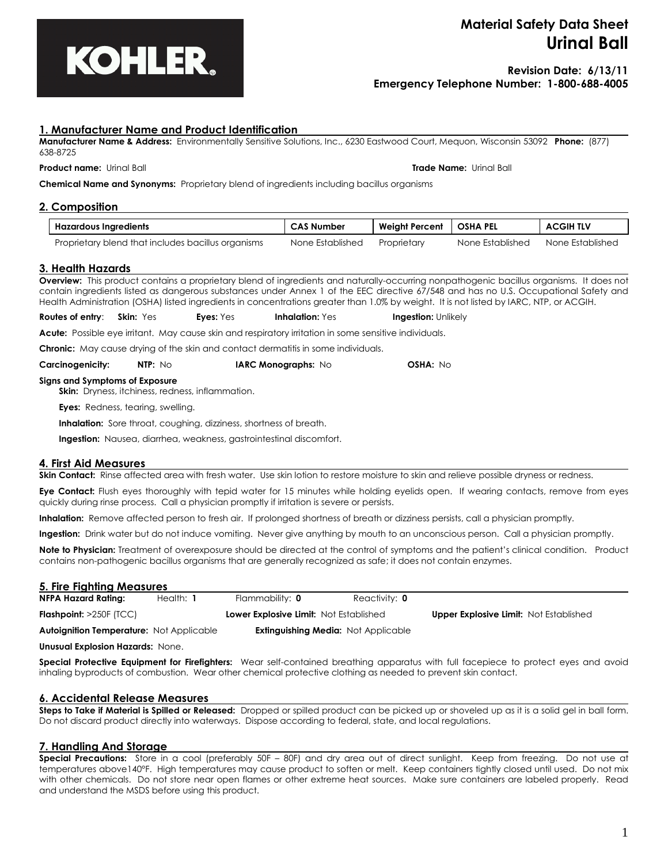

# **Material Safety Data Sheet Urinal Ball**

# **Revision Date: 6/13/11 Emergency Telephone Number: 1-800-688-4005**

# **1. Manufacturer Name and Product Identification**

**Manufacturer Name & Address:** Environmentally Sensitive Solutions, Inc., 6230 Eastwood Court, Mequon, Wisconsin 53092 **Phone:** (877) 638-8725

#### **Product name:** Urinal Ball **Trade Name:** Urinal Ball

**Chemical Name and Synonyms:** Proprietary blend of ingredients including bacillus organisms

# **2. Composition**

| Hazardous Ingredients                              | <b>CAS Number</b> | Weight Percent   OSHA PEL |                  | <b>ACGIH TLV</b> |
|----------------------------------------------------|-------------------|---------------------------|------------------|------------------|
| Proprietary blend that includes bacillus organisms | None Established  | Proprietary               | None Established | None Established |

# **3. Health Hazards**

**Overview:** This product contains a proprietary blend of ingredients and naturally-occurring nonpathogenic bacillus organisms. It does not contain ingredients listed as dangerous substances under Annex 1 of the EEC directive 67/548 and has no U.S. Occupational Safety and Health Administration (OSHA) listed ingredients in concentrations greater than 1.0% by weight. It is not listed by IARC, NTP, or ACGIH.

**Routes of entry**: **Skin:** Yes **Eyes:** Yes **Inhalation:** Yes **Ingestion:** Unlikely

**Acute:** Possible eye irritant. May cause skin and respiratory irritation in some sensitive individuals.

**Chronic:** May cause drying of the skin and contact dermatitis in some individuals.

| <b>Carcinogenicity:</b> | NTP: No | <b>IARC Monographs:</b> $No$ | <b>OSHA: No</b> |
|-------------------------|---------|------------------------------|-----------------|
|-------------------------|---------|------------------------------|-----------------|

# **Signs and Symptoms of Exposure**

**Skin:** Dryness, itchiness, redness, inflammation.

**Eyes:** Redness, tearing, swelling.

**Inhalation:** Sore throat, coughing, dizziness, shortness of breath.

**Ingestion:** Nausea, diarrhea, weakness, gastrointestinal discomfort.

#### **4. First Aid Measures**

**Skin Contact:** Rinse affected area with fresh water. Use skin lotion to restore moisture to skin and relieve possible dryness or redness.

**Eye Contact:** Flush eyes thoroughly with tepid water for 15 minutes while holding eyelids open. If wearing contacts, remove from eyes quickly during rinse process. Call a physician promptly if irritation is severe or persists.

**Inhalation:** Remove affected person to fresh air. If prolonged shortness of breath or dizziness persists, call a physician promptly.

**Ingestion:** Drink water but do not induce vomiting. Never give anything by mouth to an unconscious person. Call a physician promptly.

**Note to Physician:** Treatment of overexposure should be directed at the control of symptoms and the patient's clinical condition. Product contains non-pathogenic bacillus organisms that are generally recognized as safe; it does not contain enzymes.

# **5. Fire Fighting Measures NFPA Hazard Rating:** Health: **1** Flammability: **0** Reactivity: **0 Flashpoint:** >250F (TCC) **Lower Explosive Limit:** Not Established **Upper Explosive Limit:** Not Established **Autoignition Temperature:** Not Applicable **Extinguishing Media:** Not Applicable

**Unusual Explosion Hazards:** None.

**Special Protective Equipment for Firefighters:** Wear self-contained breathing apparatus with full facepiece to protect eyes and avoid inhaling byproducts of combustion. Wear other chemical protective clothing as needed to prevent skin contact.

# **6. Accidental Release Measures**

**Steps to Take if Material is Spilled or Released:** Dropped or spilled product can be picked up or shoveled up as it is a solid gel in ball form. Do not discard product directly into waterways. Dispose according to federal, state, and local regulations.

# **7. Handling And Storage**

**Special Precautions:** Store in a cool (preferably 50F – 80F) and dry area out of direct sunlight. Keep from freezing. Do not use at temperatures above140°F. High temperatures may cause product to soften or melt. Keep containers tightly closed until used. Do not mix with other chemicals. Do not store near open flames or other extreme heat sources. Make sure containers are labeled properly. Read and understand the MSDS before using this product.